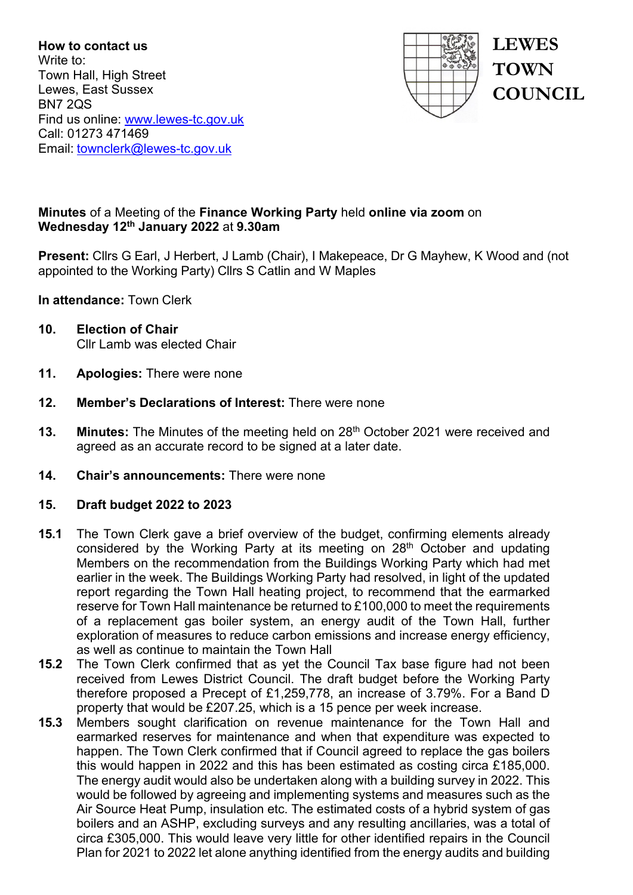**How to contact us** Write to: Town Hall, High Street Lewes, East Sussex BN7 2QS Find us online: [www.lewes-tc.gov.uk](http://www.lewes-tc.gov.uk/) Call: 01273 471469 Email: [townclerk@lewes-tc.gov.uk](mailto:townclerk@lewes-tc.gov.uk)



**LEWES TOWN COUNCIL**

## **Minutes** of a Meeting of the **Finance Working Party** held **online via zoom** on **Wednesday 12th January 2022** at **9.30am**

**Present:** Cllrs G Earl, J Herbert, J Lamb (Chair), I Makepeace, Dr G Mayhew, K Wood and (not appointed to the Working Party) Cllrs S Catlin and W Maples

**In attendance:** Town Clerk

- **10. Election of Chair** Cllr Lamb was elected Chair
- **11. Apologies:** There were none
- **12. Member's Declarations of Interest:** There were none
- **13. Minutes:** The Minutes of the meeting held on 28<sup>th</sup> October 2021 were received and agreed as an accurate record to be signed at a later date.
- **14. Chair's announcements:** There were none

## **15. Draft budget 2022 to 2023**

- **15.1** The Town Clerk gave a brief overview of the budget, confirming elements already considered by the Working Party at its meeting on 28<sup>th</sup> October and updating Members on the recommendation from the Buildings Working Party which had met earlier in the week. The Buildings Working Party had resolved, in light of the updated report regarding the Town Hall heating project, to recommend that the earmarked reserve for Town Hall maintenance be returned to £100,000 to meet the requirements of a replacement gas boiler system, an energy audit of the Town Hall, further exploration of measures to reduce carbon emissions and increase energy efficiency, as well as continue to maintain the Town Hall
- **15.2** The Town Clerk confirmed that as yet the Council Tax base figure had not been received from Lewes District Council. The draft budget before the Working Party therefore proposed a Precept of £1,259,778, an increase of 3.79%. For a Band D property that would be £207.25, which is a 15 pence per week increase.
- **15.3** Members sought clarification on revenue maintenance for the Town Hall and earmarked reserves for maintenance and when that expenditure was expected to happen. The Town Clerk confirmed that if Council agreed to replace the gas boilers this would happen in 2022 and this has been estimated as costing circa £185,000. The energy audit would also be undertaken along with a building survey in 2022. This would be followed by agreeing and implementing systems and measures such as the Air Source Heat Pump, insulation etc. The estimated costs of a hybrid system of gas boilers and an ASHP, excluding surveys and any resulting ancillaries, was a total of circa £305,000. This would leave very little for other identified repairs in the Council Plan for 2021 to 2022 let alone anything identified from the energy audits and building